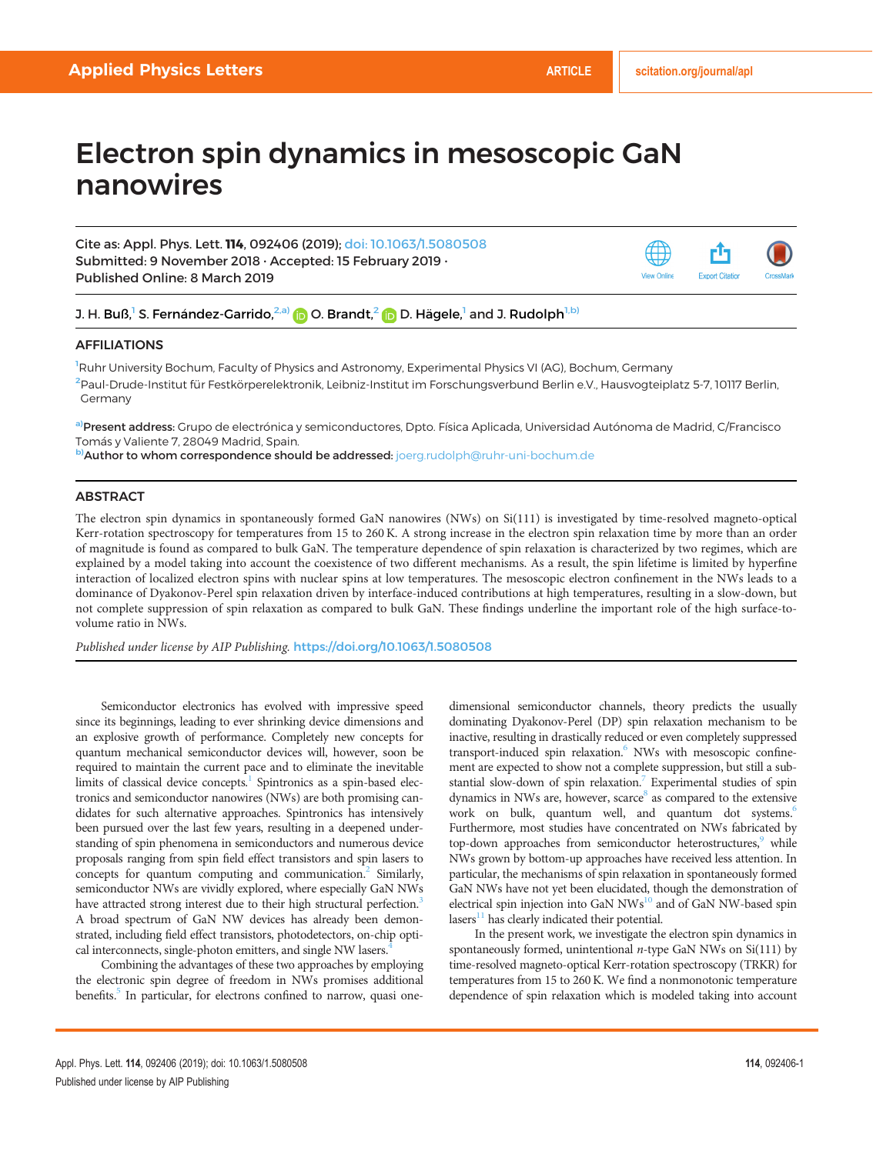# Electron spin dynamics in mesoscopic GaN nanowires

Cite as: Appl. Phys. Lett. 114, 092406 (2019); doi: [10.1063/1.5080508](https://doi.org/10.1063/1.5080508) Submitted: 9 November 2018 · Accepted: 15 February 2019 · Published Online: 8 March 2019



## J. H. Buß,<sup>1</sup> S. Fernández-Garrido,<sup>2,a)</sup> (D. Brandt,<sup>2</sup> (D. Hägele,<sup>1</sup> and J. Rudolph<sup>1,b)</sup>

### AFFILIATIONS

<sup>1</sup>Ruhr University Bochum, Faculty of Physics and Astronomy, Experimental Physics VI (AG), Bochum, Germany <sup>2</sup>Paul-Drude-Institut für Festkörperelektronik, Leibniz-Institut im Forschungsverbund Berlin e.V., Hausvogteiplatz 5-7, 10117 Berlin, Germany

<sup>a)</sup>**Present address:** Grupo de electrónica y semiconductores, Dpto. Física Aplicada, Universidad Autónoma de Madrid, C/Francisco Tomás y Valiente 7, 28049 Madrid, Spain.

b)Author to whom correspondence should be addressed: [joerg.rudolph@ruhr-uni-bochum.de](mailto:joerg.rudolph@ruhr-uni-bochum.de)

### **ABSTRACT**

The electron spin dynamics in spontaneously formed GaN nanowires (NWs) on Si(111) is investigated by time-resolved magneto-optical Kerr-rotation spectroscopy for temperatures from 15 to 260 K. A strong increase in the electron spin relaxation time by more than an order of magnitude is found as compared to bulk GaN. The temperature dependence of spin relaxation is characterized by two regimes, which are explained by a model taking into account the coexistence of two different mechanisms. As a result, the spin lifetime is limited by hyperfine interaction of localized electron spins with nuclear spins at low temperatures. The mesoscopic electron confinement in the NWs leads to a dominance of Dyakonov-Perel spin relaxation driven by interface-induced contributions at high temperatures, resulting in a slow-down, but not complete suppression of spin relaxation as compared to bulk GaN. These findings underline the important role of the high surface-tovolume ratio in NWs.

Published under license by AIP Publishing. <https://doi.org/10.1063/1.5080508>

Semiconductor electronics has evolved with impressive speed since its beginnings, leading to ever shrinking device dimensions and an explosive growth of performance. Completely new concepts for quantum mechanical semiconductor devices will, however, soon be required to maintain the current pace and to eliminate the inevitable limits of classical device concepts. $<sup>1</sup>$  $<sup>1</sup>$  $<sup>1</sup>$  Spintronics as a spin-based elec-</sup> tronics and semiconductor nanowires (NWs) are both promising candidates for such alternative approaches. Spintronics has intensively been pursued over the last few years, resulting in a deepened understanding of spin phenomena in semiconductors and numerous device proposals ranging from spin field effect transistors and spin lasers to concepts for quantum computing and communication.<sup>2</sup> Similarly, semiconductor NWs are vividly explored, where especially GaN NWs have attracted strong interest due to their high structural perfection.<sup>[3](#page-3-0)</sup> A broad spectrum of GaN NW devices has already been demonstrated, including field effect transistors, photodetectors, on-chip optical interconnects, single-photon emitters, and single NW lasers.<sup>4</sup>

Combining the advantages of these two approaches by employing the electronic spin degree of freedom in NWs promises additional benefits.<sup>[5](#page-3-0)</sup> In particular, for electrons confined to narrow, quasi onedimensional semiconductor channels, theory predicts the usually dominating Dyakonov-Perel (DP) spin relaxation mechanism to be inactive, resulting in drastically reduced or even completely suppressed transport-induced spin relaxation.<sup>6</sup> NWs with mesoscopic confinement are expected to show not a complete suppression, but still a substantial slow-down of spin relaxation.<sup>7</sup> Experimental studies of spin dynamics in NWs are, however, scarce<sup>8</sup> as compared to the extensive work on bulk, quantum well, and quantum dot systems.<sup>6</sup> Furthermore, most studies have concentrated on NWs fabricated by top-down approaches from semiconductor heterostructures,<sup>[9](#page-4-0)</sup> while NWs grown by bottom-up approaches have received less attention. In particular, the mechanisms of spin relaxation in spontaneously formed GaN NWs have not yet been elucidated, though the demonstration of electrical spin injection into GaN NWs<sup>10</sup> and of GaN NW-based spin  $\lambda$ lasers<sup>11</sup> has clearly indicated their potential.

In the present work, we investigate the electron spin dynamics in spontaneously formed, unintentional  $n$ -type GaN NWs on Si(111) by time-resolved magneto-optical Kerr-rotation spectroscopy (TRKR) for temperatures from 15 to 260 K. We find a nonmonotonic temperature dependence of spin relaxation which is modeled taking into account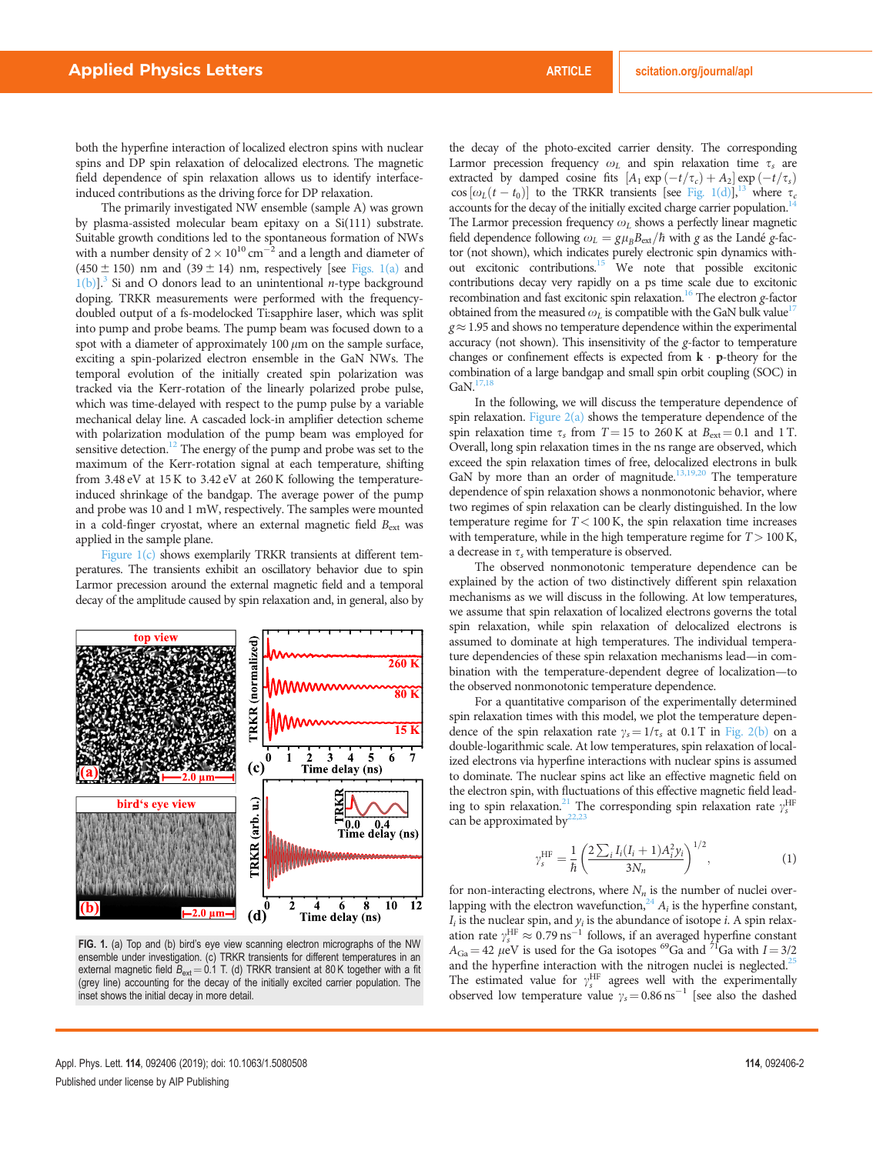both the hyperfine interaction of localized electron spins with nuclear spins and DP spin relaxation of delocalized electrons. The magnetic field dependence of spin relaxation allows us to identify interfaceinduced contributions as the driving force for DP relaxation.

The primarily investigated NW ensemble (sample A) was grown by plasma-assisted molecular beam epitaxy on a Si(111) substrate. Suitable growth conditions led to the spontaneous formation of NWs with a number density of 2  $\times$  10<sup>10</sup> cm<sup>-2</sup> and a length and diameter of  $(450 \pm 150)$  nm and  $(39 \pm 14)$  nm, respectively [see Figs. 1(a) and  $1(b)$ ].<sup>3</sup> Si and O donors lead to an unintentional *n*-type background doping. TRKR measurements were performed with the frequencydoubled output of a fs-modelocked Ti:sapphire laser, which was split into pump and probe beams. The pump beam was focused down to a spot with a diameter of approximately 100  $\mu$ m on the sample surface, exciting a spin-polarized electron ensemble in the GaN NWs. The temporal evolution of the initially created spin polarization was tracked via the Kerr-rotation of the linearly polarized probe pulse, which was time-delayed with respect to the pump pulse by a variable mechanical delay line. A cascaded lock-in amplifier detection scheme with polarization modulation of the pump beam was employed for sensitive detection.<sup>12</sup> The energy of the pump and probe was set to the maximum of the Kerr-rotation signal at each temperature, shifting from 3.48 eV at 15 K to 3.42 eV at 260 K following the temperatureinduced shrinkage of the bandgap. The average power of the pump and probe was 10 and 1 mW, respectively. The samples were mounted in a cold-finger cryostat, where an external magnetic field  $B_{\text{ext}}$  was applied in the sample plane.

Figure 1(c) shows exemplarily TRKR transients at different temperatures. The transients exhibit an oscillatory behavior due to spin Larmor precession around the external magnetic field and a temporal decay of the amplitude caused by spin relaxation and, in general, also by



FIG. 1. (a) Top and (b) bird's eye view scanning electron micrographs of the NW ensemble under investigation. (c) TRKR transients for different temperatures in an external magnetic field  $B_{ext} = 0.1$  T. (d) TRKR transient at 80 K together with a fit (grey line) accounting for the decay of the initially excited carrier population. The inset shows the initial decay in more detail.

the decay of the photo-excited carrier density. The corresponding Larmor precession frequency  $\omega_L$  and spin relaxation time  $\tau_s$  are extracted by damped cosine fits  $[A_1 \exp(-t/\tau_c) + A_2] \exp(-t/\tau_s)$  $\cos[\omega_L(t - t_0)]$  to the TRKR transients [see Fig. 1(d)],<sup>13</sup> where  $\tau_c$ accounts for the decay of the initially excited charge carrier population.<sup>14</sup> The Larmor precession frequency  $\omega_L$  shows a perfectly linear magnetic field dependence following  $\omega_L = g\mu_B B_{\text{ext}}/\hbar$  with g as the Landé g-factor (not shown), which indicates purely electronic spin dynamics without excitonic contributions[.15](#page-4-0) We note that possible excitonic contributions decay very rapidly on a ps time scale due to excitonic recombination and fast excitonic spin relaxation.<sup>16</sup> The electron g-factor obtained from the measured  $\omega_I$  is compatible with the GaN bulk value<sup>[17](#page-4-0)</sup>  $g \approx 1.95$  and shows no temperature dependence within the experimental accuracy (not shown). This insensitivity of the g-factor to temperature changes or confinement effects is expected from  $\mathbf{k} \cdot \mathbf{p}$ -theory for the combination of a large bandgap and small spin orbit coupling (SOC) in  $GaN<sup>17</sup>$ 

In the following, we will discuss the temperature dependence of spin relaxation. Figure  $2(a)$  shows the temperature dependence of the spin relaxation time  $\tau_s$  from  $T = 15$  to 260 K at  $B_{ext} = 0.1$  and 1 T. Overall, long spin relaxation times in the ns range are observed, which exceed the spin relaxation times of free, delocalized electrons in bulk GaN by more than an order of magnitude.<sup>13,19,20</sup> The temperature dependence of spin relaxation shows a nonmonotonic behavior, where two regimes of spin relaxation can be clearly distinguished. In the low temperature regime for  $T < 100$  K, the spin relaxation time increases with temperature, while in the high temperature regime for  $T > 100$  K, a decrease in  $\tau_s$  with temperature is observed.

The observed nonmonotonic temperature dependence can be explained by the action of two distinctively different spin relaxation mechanisms as we will discuss in the following. At low temperatures, we assume that spin relaxation of localized electrons governs the total spin relaxation, while spin relaxation of delocalized electrons is assumed to dominate at high temperatures. The individual temperature dependencies of these spin relaxation mechanisms lead—in combination with the temperature-dependent degree of localization—to the observed nonmonotonic temperature dependence.

For a quantitative comparison of the experimentally determined spin relaxation times with this model, we plot the temperature dependence of the spin relaxation rate  $\gamma_s = 1/\tau_s$  at 0.1 T in [Fig. 2\(b\)](#page-2-0) on a double-logarithmic scale. At low temperatures, spin relaxation of localized electrons via hyperfine interactions with nuclear spins is assumed to dominate. The nuclear spins act like an effective magnetic field on the electron spin, with fluctuations of this effective magnetic field leading to spin relaxation.<sup>21</sup> The corresponding spin relaxation rate  $\gamma_s^{\text{HF}}$ can be approximated by $22,23$  $22,23$ 

$$
\gamma_s^{\text{HF}} = \frac{1}{\hbar} \left( \frac{2 \sum_i I_i (I_i + 1) A_i^2 y_i}{3N_n} \right)^{1/2},\tag{1}
$$

for non-interacting electrons, where  $N_n$  is the number of nuclei overlapping with the electron wavefunction,  $24 A_i$  $24 A_i$  is the hyperfine constant,  $I_i$  is the nuclear spin, and  $y_i$  is the abundance of isotope *i*. A spin relaxation rate  $\gamma_s^{\text{HF}} \approx 0.79 \text{ ns}^{-1}$  follows, if an averaged hyperfine constant  $A_{Ga} = 42 \mu eV$  is used for the Ga isotopes <sup>69</sup>Ga and <sup>71</sup>Ga with I = 3/2 and the hyperfine interaction with the nitrogen nuclei is neglected.<sup>[25](#page-4-0)</sup> The estimated value for  $\gamma_s^{\text{HF}}$  agrees well with the experimentally observed low temperature value  $\gamma_s = 0.86 \text{ ns}^{-1}$  [see also the dashed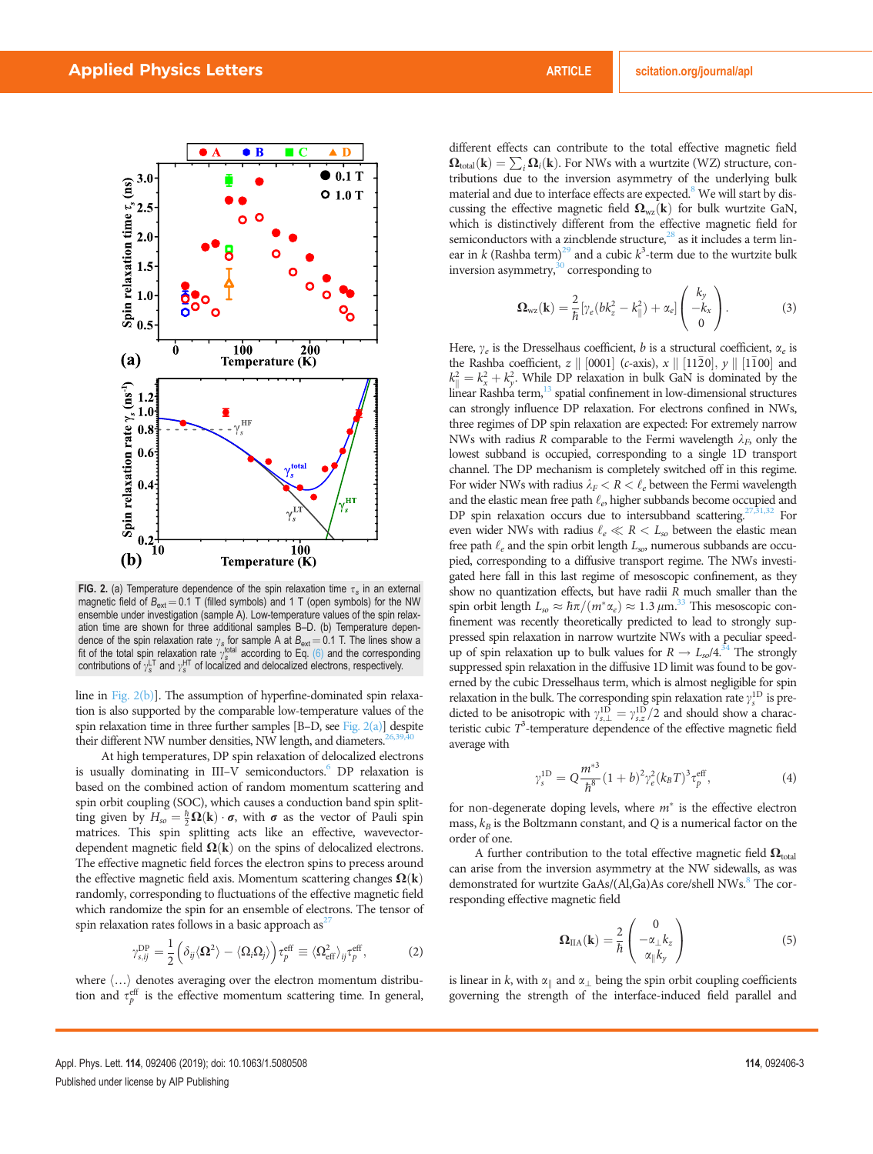<span id="page-2-0"></span>

FIG. 2. (a) Temperature dependence of the spin relaxation time  $\tau_s$  in an external magnetic field of  $B_{\text{ext}} = 0.1$  T (filled symbols) and 1 T (open symbols) for the NW ensemble under investigation (sample A). Low-temperature values of the spin relaxation time are shown for three additional samples B–D. (b) Temperature dependence of the spin relaxation rate  $\gamma_s$  for sample A at  $B_{\text{ext}} = 0.1$  T. The lines show a<br>fit of the total spin relaxation rate  $\gamma_s^{\text{total}}$  according to Eq. [\(6\)](#page-3-0) and the corresponding<br>contributions of  $\gamma_s^{\text{LT}}$  and  $\gamma_s$ 

line in Fig. 2(b)]. The assumption of hyperfine-dominated spin relaxation is also supported by the comparable low-temperature values of the spin relaxation time in three further samples  $[B-D, \text{see Fig. 2(a)}]$  despite their different NW number densities, NW length, and diameters.

At high temperatures, DP spin relaxation of delocalized electrons is usually dominating in III–V semiconductors.<sup>6</sup> DP relaxation is based on the combined action of random momentum scattering and spin orbit coupling (SOC), which causes a conduction band spin splitting given by  $H_{so} = \frac{\hbar}{2} \Omega(\mathbf{k}) \cdot \boldsymbol{\sigma}$ , with  $\boldsymbol{\sigma}$  as the vector of Pauli spin matrices. This spin splitting acts like an effective, wavevectordependent magnetic field  $\Omega(k)$  on the spins of delocalized electrons. The effective magnetic field forces the electron spins to precess around the effective magnetic field axis. Momentum scattering changes  $\Omega(k)$ randomly, corresponding to fluctuations of the effective magnetic field which randomize the spin for an ensemble of electrons. The tensor of spin relaxation rates follows in a basic approach as<sup>2</sup>

$$
\gamma_{s,ij}^{\rm DP} = \frac{1}{2} \left( \delta_{ij} \langle \mathbf{\Omega}^2 \rangle - \langle \Omega_i \Omega_j \rangle \right) \tau_p^{\rm eff} \equiv \langle \Omega_{\rm eff}^2 \rangle_{ij} \tau_p^{\rm eff}, \tag{2}
$$

where  $\langle \ldots \rangle$  denotes averaging over the electron momentum distribution and  $\tau_p^{\text{eff}}$  is the effective momentum scattering time. In general,

different effects can contribute to the total effective magnetic field  $\Omega_{\text{total}}(\mathbf{k}) = \sum_i \Omega_i(\mathbf{k})$ . For NWs with a wurtzite (WZ) structure, contributions due to the inversion asymmetry of the underlying bulk material and due to interface effects are expected.<sup>8</sup> We will start by discussing the effective magnetic field  $\Omega_{wz}(\mathbf{k})$  for bulk wurtzite GaN, which is distinctively different from the effective magnetic field for semiconductors with a zincblende structure, $^{28}$  as it includes a term linear in  $k$  (Rashba term)<sup>29</sup> and a cubic  $k^3$ -term due to the wurtzite bulk inversion asymmetry, $30$  corresponding to

$$
\Omega_{\text{wz}}(\mathbf{k}) = \frac{2}{\hbar} \left[ \gamma_e (bk_z^2 - k_{\parallel}^2) + \alpha_e \right] \begin{pmatrix} k_y \\ -k_x \\ 0 \end{pmatrix}.
$$
 (3)

Here,  $\gamma_e$  is the Dresselhaus coefficient, b is a structural coefficient,  $\alpha_e$  is the Rashba coefficient,  $z \parallel [0001]$  (c-axis),  $x \parallel [11\overline{2}0], y \parallel [1\overline{1}00]$  and  $k_{\parallel}^2 = k_x^2 + k_y^2$ . While DP relaxation in bulk GaN is dominated by the linear Rashba term,<sup>13</sup> spatial confinement in low-dimensional structures can strongly influence DP relaxation. For electrons confined in NWs, three regimes of DP spin relaxation are expected: For extremely narrow NWs with radius R comparable to the Fermi wavelength  $\lambda_F$ , only the lowest subband is occupied, corresponding to a single 1D transport channel. The DP mechanism is completely switched off in this regime. For wider NWs with radius  $\lambda_F < R < \ell_e$  between the Fermi wavelength and the elastic mean free path  $\ell_e$ , higher subbands become occupied and DP spin relaxation occurs due to intersubband scattering.<sup>27,[31,32](#page-4-0)</sup> For even wider NWs with radius  $\ell_e \ll R < L_{so}$  between the elastic mean free path  $\ell_e$  and the spin orbit length  $L_{so}$ , numerous subbands are occupied, corresponding to a diffusive transport regime. The NWs investigated here fall in this last regime of mesoscopic confinement, as they show no quantization effects, but have radii R much smaller than the spin orbit length  $L_{so} \approx \hbar \pi/(m^* \alpha_e) \approx 1.3 \,\mu \text{m}^{33}$  This mesoscopic confinement was recently theoretically predicted to lead to strongly suppressed spin relaxation in narrow wurtzite NWs with a peculiar speedup of spin relaxation up to bulk values for  $R \rightarrow L_{so}/4$ .<sup>34</sup> The strongly suppressed spin relaxation in the diffusive 1D limit was found to be governed by the cubic Dresselhaus term, which is almost negligible for spin relaxation in the bulk. The corresponding spin relaxation rate  $\gamma_s^{\rm 1D}$  is predicted to be anisotropic with  $\gamma_{s,\perp}^{1D} = \gamma_{s,z}^{1D}/2$  and should show a characteristic cubic  $T^3$ -temperature dependence of the effective magnetic field average with

$$
\gamma_s^{1D} = Q \frac{m^{*3}}{\hbar^8} (1+b)^2 \gamma_e^2 (k_B T)^3 \tau_p^{\text{eff}}, \tag{4}
$$

for non-degenerate doping levels, where  $m^*$  is the effective electron mass,  $k_B$  is the Boltzmann constant, and Q is a numerical factor on the order of one.

A further contribution to the total effective magnetic field  $\Omega_{total}$ can arise from the inversion asymmetry at the NW sidewalls, as was demonstrated for wurtzite GaAs/(Al,Ga)As core/shell NWs.<sup>8</sup> The corresponding effective magnetic field

$$
\Omega_{\text{IIA}}(\mathbf{k}) = \frac{2}{\hbar} \begin{pmatrix} 0 \\ -\alpha_{\perp} k_z \\ \alpha_{\parallel} k_y \end{pmatrix}
$$
 (5)

is linear in k, with  $\alpha_{\parallel}$  and  $\alpha_{\perp}$  being the spin orbit coupling coefficients governing the strength of the interface-induced field parallel and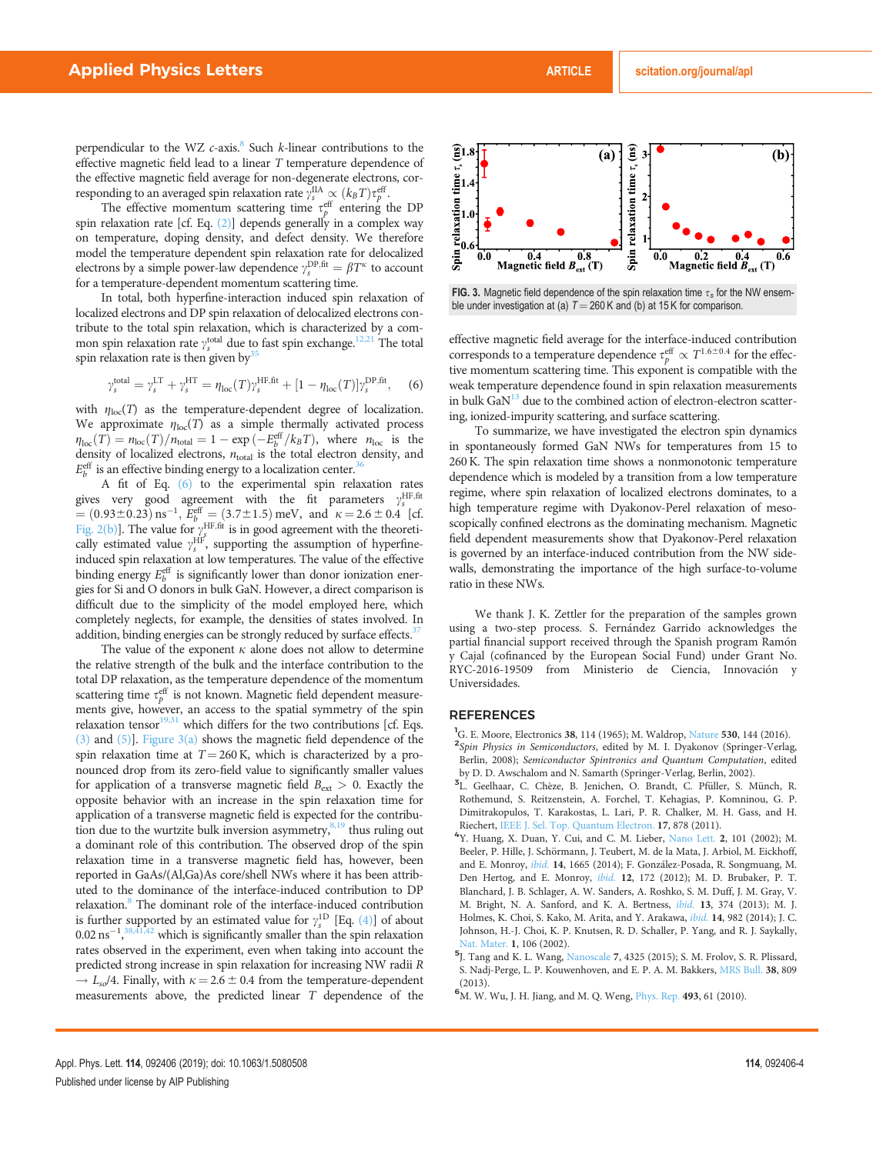<span id="page-3-0"></span>perpendicular to the WZ  $c$ -axis.<sup>8</sup> Such  $k$ -linear contributions to the effective magnetic field lead to a linear T temperature dependence of the effective magnetic field average for non-degenerate electrons, corresponding to an averaged spin relaxation rate  $\gamma_s^{\text{IIA}} \propto (k_B T) \tau_p^{\text{eff}}$ .

The effective momentum scattering time  $\tau_p^{\text{eff}}$  entering the DP spin relaxation rate [cf. Eq.  $(2)$ ] depends generally in a complex way on temperature, doping density, and defect density. We therefore model the temperature dependent spin relaxation rate for delocalized electrons by a simple power-law dependence  $\gamma_s^{\text{DP,fit}} = \beta T^{\kappa}$  to account for a temperature-dependent momentum scattering time.

In total, both hyperfine-interaction induced spin relaxation of localized electrons and DP spin relaxation of delocalized electrons contribute to the total spin relaxation, which is characterized by a common spin relaxation rate  $\gamma_s^{\text{total}}$  due to fast spin exchange.<sup>12,[21](#page-4-0)</sup> The total spin relaxation rate is then given by<sup>35</sup>

$$
\gamma_s^{\rm total} = \gamma_s^{\rm LT} + \gamma_s^{\rm HT} = \eta_{\rm loc}(T) \gamma_s^{\rm HF,fit} + [1 - \eta_{\rm loc}(T)] \gamma_s^{\rm DP,fit}, \quad \text{(6)}
$$

with  $\eta_{\text{loc}}(T)$  as the temperature-dependent degree of localization. We approximate  $\eta_{\text{loc}}(T)$  as a simple thermally activated process  $\eta_{\text{loc}}(T) = n_{\text{loc}}(T)/n_{\text{total}} = 1 - \exp(-E_b^{\text{eff}}/k_B T)$ , where  $n_{\text{loc}}$  is the density of localized electrons,  $n_{\text{total}}$  is the total electron density, and  $E_b^{\text{eff}}$  is an effective binding energy to a localization center.<sup>36</sup>

A fit of Eq. (6) to the experimental spin relaxation rates gives very good agreement with the fit parameters  $\gamma_s^{\text{HF, fit}}$  $= (0.93 \pm 0.23) \text{ ns}^{-1}, E_b^{\text{eff}} = (3.7 \pm 1.5) \text{ meV}, \text{ and } \kappa = 2.6 \pm 0.4 \text{ [cf.]}$ [Fig. 2\(b\)](#page-2-0)]. The value for  $\gamma_s^{\text{HF,fit}}$  is in good agreement with the theoretically estimated value  $\gamma_s^{\text{HF}}$ , supporting the assumption of hyperfineinduced spin relaxation at low temperatures. The value of the effective binding energy  $E_b^{\text{eff}}$  is significantly lower than donor ionization energies for Si and O donors in bulk GaN. However, a direct comparison is difficult due to the simplicity of the model employed here, which completely neglects, for example, the densities of states involved. In addition, binding energies can be strongly reduced by surface effects.<sup>37</sup>

The value of the exponent  $\kappa$  alone does not allow to determine the relative strength of the bulk and the interface contribution to the total DP relaxation, as the temperature dependence of the momentum scattering time  $\tau_p^{\text{eff}}$  is not known. Magnetic field dependent measurements give, however, an access to the spatial symmetry of the spin relaxation tensor $19,31$  which differs for the two contributions [cf. Eqs. [\(3\)](#page-2-0) and [\(5\)](#page-2-0)]. Figure 3(a) shows the magnetic field dependence of the spin relaxation time at  $T = 260$  K, which is characterized by a pronounced drop from its zero-field value to significantly smaller values for application of a transverse magnetic field  $B_{\text{ext}} > 0$ . Exactly the opposite behavior with an increase in the spin relaxation time for application of a transverse magnetic field is expected for the contribution due to the wurtzite bulk inversion asymmetry, $8,19$  $8,19$  thus ruling out a dominant role of this contribution. The observed drop of the spin relaxation time in a transverse magnetic field has, however, been reported in GaAs/(Al,Ga)As core/shell NWs where it has been attributed to the dominance of the interface-induced contribution to DP relaxation.<sup>8</sup> The dominant role of the interface-induced contribution is further supported by an estimated value for  $\gamma_s^{\text{1D}}$  [Eq. [\(4\)\]](#page-2-0) of about  $0.02 \text{ ns}^{-1}$ ,  $38,41,42$  which is significantly smaller than the spin relaxation rates observed in the experiment, even when taking into account the predicted strong increase in spin relaxation for increasing NW radii R  $\rightarrow$  L<sub>so</sub>/4. Finally, with  $\kappa = 2.6 \pm 0.4$  from the temperature-dependent measurements above, the predicted linear T dependence of the



FIG. 3. Magnetic field dependence of the spin relaxation time  $\tau_s$  for the NW ensemble under investigation at (a)  $T = 260$  K and (b) at 15 K for comparison.

effective magnetic field average for the interface-induced contribution corresponds to a temperature dependence  $\tau_p^{\text{eff}} \propto T^{1.6\pm0.4}$  for the effective momentum scattering time. This exponent is compatible with the weak temperature dependence found in spin relaxation measurements in bulk  $\text{GaN}^{13}$  due to the combined action of electron-electron scattering, ionized-impurity scattering, and surface scattering.

To summarize, we have investigated the electron spin dynamics in spontaneously formed GaN NWs for temperatures from 15 to 260 K. The spin relaxation time shows a nonmonotonic temperature dependence which is modeled by a transition from a low temperature regime, where spin relaxation of localized electrons dominates, to a high temperature regime with Dyakonov-Perel relaxation of mesoscopically confined electrons as the dominating mechanism. Magnetic field dependent measurements show that Dyakonov-Perel relaxation is governed by an interface-induced contribution from the NW sidewalls, demonstrating the importance of the high surface-to-volume ratio in these NWs.

We thank J. K. Zettler for the preparation of the samples grown using a two-step process. S. Fernández Garrido acknowledges the partial financial support received through the Spanish program Ramón y Cajal (cofinanced by the European Social Fund) under Grant No. RYC-2016-19509 from Ministerio de Ciencia, Innovación y Universidades.

#### **REFERENCES**

- <sup>1</sup>G. E. Moore, Electronics 38, 114 (1965); M. Waldrop, [Nature](https://doi.org/10.1038/530144a) 530, 144 (2016).<br><sup>2</sup>Shin, Physics in Samicanductors, odited by M. J. Dynkonov (Springer Verla
- <sup>2</sup>Spin Physics in Semiconductors, edited by M. I. Dyakonov (Springer-Verlag, Berlin, 2008); Semiconductor Spintronics and Quantum Computation, edited by D. D. Awschalom and N. Samarth (Springer-Verlag, Berlin, 2002).
- <sup>3</sup>L. Geelhaar, C. Chèze, B. Jenichen, O. Brandt, C. Pfüller, S. Münch, R. Rothemund, S. Reitzenstein, A. Forchel, T. Kehagias, P. Komninou, G. P. Dimitrakopulos, T. Karakostas, L. Lari, P. R. Chalker, M. H. Gass, and H. Riechert, [IEEE J. Sel. Top. Quantum Electron.](https://doi.org/10.1109/JSTQE.2010.2098396) <sup>17</sup>, 878 (2011). <sup>4</sup>
- <sup>4</sup>Y. Huang, X. Duan, Y. Cui, and C. M. Lieber, [Nano Lett.](https://doi.org/10.1021/nl015667d) 2, 101 (2002); M. Beeler, P. Hille, J. Schörmann, J. Teubert, M. de la Mata, J. Arbiol, M. Eickhoff, and E. Monroy, *[ibid.](https://doi.org/10.1021/nl5002247)* 14, 1665 (2014); F. González-Posada, R. Songmuang, M. Den Hertog, and E. Monroy, [ibid.](https://doi.org/10.1021/nl2032684) 12, 172 (2012); M. D. Brubaker, P. T. Blanchard, J. B. Schlager, A. W. Sanders, A. Roshko, S. M. Duff, J. M. Gray, V. M. Bright, N. A. Sanford, and K. A. Bertness, *[ibid.](https://doi.org/10.1021/nl303510h)* 13, 374 (2013); M. J. Holmes, K. Choi, S. Kako, M. Arita, and Y. Arakawa, *ibid*. 14, 982 (2014); J. C. Johnson, H.-J. Choi, K. P. Knutsen, R. D. Schaller, P. Yang, and R. J. Saykally, [Nat. Mater.](https://doi.org/10.1038/nmat728) 1, 106 (2002).<br>5 J. Tang and K. L. Wang, [Nanoscale](https://doi.org/10.1039/C4NR07611G) 7, 4325 (2015); S. M. Frolov, S. R. Plissard,
- S. Nadj-Perge, L. P. Kouwenhoven, and E. P. A. M. Bakkers, [MRS Bull.](https://doi.org/10.1557/mrs.2013.205) 38, 809  $(2013)$
- 6 M. W. Wu, J. H. Jiang, and M. Q. Weng, [Phys. Rep.](https://doi.org/10.1016/j.physrep.2010.04.002) 493, 61 (2010).